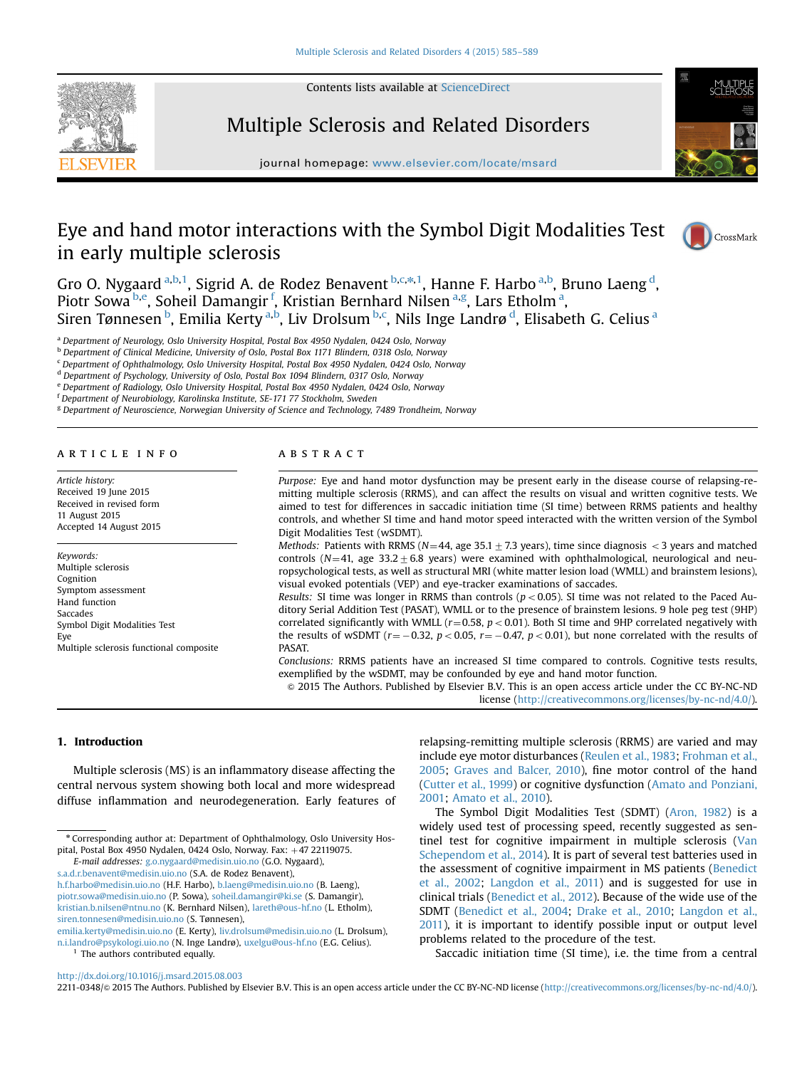Contents lists available at ScienceDirect



Multiple Sclerosis and Related Disorders



journal homepage: <www.elsevier.com/locate/msard>

# Eye and hand motor interactions with the Symbol Digit Modalities Test in early multiple sclerosis



Gro O. Nygaard <sup>a,b,1</sup>, Sigrid A. de Rodez Benavent <sup>b,c, $\ast$ ,1, Hanne F. Harbo <sup>a,b</sup>, Bruno Laeng <sup>d</sup>,</sup> Piotr Sowa<sup>b,e</sup>, Soheil Damangir<sup>f</sup>, Kristian Bernhard Nilsen<sup>a,g</sup>, Lars Etholm<sup>a</sup>, Siren Tønnesen <sup>b</sup>, Emilia Kerty <sup>a,b</sup>, Liv Drolsum <sup>b,c</sup>, Nils Inge Landrø <sup>d</sup>, Elisabeth G. Celius <sup>a</sup>

<sup>a</sup> Department of Neurology, Oslo University Hospital, Postal Box 4950 Nydalen, 0424 Oslo, Norway

<sup>b</sup> Department of Clinical Medicine, University of Oslo, Postal Box 1171 Blindern, 0318 Oslo, Norway

<sup>c</sup> Department of Ophthalmology, Oslo University Hospital, Postal Box 4950 Nydalen, 0424 Oslo, Norway

<sup>d</sup> Department of Psychology, University of Oslo, Postal Box 1094 Blindern, 0317 Oslo, Norway

<sup>e</sup> Department of Radiology, Oslo University Hospital, Postal Box 4950 Nydalen, 0424 Oslo, Norway

<sup>f</sup> Department of Neurobiology, Karolinska Institute, SE-171 77 Stockholm, Sweden

<sup>g</sup> Department of Neuroscience, Norwegian University of Science and Technology, 7489 Trondheim, Norway

# article info

Article history: Received 19 June 2015 Received in revised form 11 August 2015 Accepted 14 August 2015

Keywords: Multiple sclerosis Cognition Symptom assessment Hand function Saccades Symbol Digit Modalities Test Eye Multiple sclerosis functional composite

# **ABSTRACT**

Purpose: Eye and hand motor dysfunction may be present early in the disease course of relapsing-remitting multiple sclerosis (RRMS), and can affect the results on visual and written cognitive tests. We aimed to test for differences in saccadic initiation time (SI time) between RRMS patients and healthy controls, and whether SI time and hand motor speed interacted with the written version of the Symbol Digit Modalities Test (wSDMT).

*Methods:* Patients with RRMS ( $N=44$ , age 35.1  $\pm$  7.3 years), time since diagnosis < 3 years and matched controls ( $N=41$ , age 33.2  $\pm$  6.8 years) were examined with ophthalmological, neurological and neuropsychological tests, as well as structural MRI (white matter lesion load (WMLL) and brainstem lesions), visual evoked potentials (VEP) and eye-tracker examinations of saccades.

Results: SI time was longer in RRMS than controls ( $p < 0.05$ ). SI time was not related to the Paced Auditory Serial Addition Test (PASAT), WMLL or to the presence of brainstem lesions. 9 hole peg test (9HP) correlated significantly with WMLL ( $r=0.58$ ,  $p<0.01$ ). Both SI time and 9HP correlated negatively with the results of wSDMT ( $r = -0.32$ ,  $p < 0.05$ ,  $r = -0.47$ ,  $p < 0.01$ ), but none correlated with the results of PASAT.

Conclusions: RRMS patients have an increased SI time compared to controls. Cognitive tests results, exemplified by the wSDMT, may be confounded by eye and hand motor function.

& 2015 The Authors. Published by Elsevier B.V. This is an open access article under the CC BY-NC-ND license (http://creativecommons.org/licenses/by-nc-nd/4.0/).

# 1. Introduction

Multiple sclerosis (MS) is an inflammatory disease affecting the central nervous system showing both local and more widespread diffuse inflammation and neurodegeneration. Early features of

E-mail addresses: [g.o.nygaard@medisin.uio.no](mailto:g.o.nygaard@medisin.uio.no) (G.O. Nygaard),

[s.a.d.r.benavent@medisin.uio.no](mailto:s.a.d.r.benavent@medisin.uio.no) (S.A. de Rodez Benavent),

[h.f.harbo@medisin.uio.no](mailto:h.f.harbo@medisin.uio.no) (H.F. Harbo), [b.laeng@medisin.uio.no](mailto:b.laeng@medisin.uio.no) (B. Laeng), [piotr.sowa@medisin.uio.no](mailto:piotr.sowa@medisin.uio.no) (P. Sowa), [soheil.damangir@ki.se](mailto:soheil.damangir@ki.se) (S. Damangir), [kristian.b.nilsen@ntnu.no](mailto:kristian.b.nilsen@ntnu.no) (K. Bernhard Nilsen), [lareth@ous-hf.no](mailto:lareth@ous-hf.no) (L. Etholm), [siren.tonnesen@medisin.uio.no](mailto:siren.tonnesen@medisin.uio.no) (S. Tønnesen),

[emilia.kerty@medisin.uio.no](mailto:emilia.kerty@medisin.uio.no) (E. Kerty), [liv.drolsum@medisin.uio.no](mailto:liv.drolsum@medisin.uio.no) (L. Drolsum), [n.i.landro@psykologi.uio.no](mailto:n.i.landro@psykologi.uio.no) (N. Inge Landrø), [uxelgu@ous-hf.no](mailto:uxelgu@ous-hf.no) (E.G. Celius).  $<sup>1</sup>$  The authors contributed equally.</sup>

relapsing-remitting multiple sclerosis (RRMS) are varied and may include eye motor disturbances [\(Reulen et al., 1983](#page-4-0); [Frohman et al.,](#page-4-0) [2005;](#page-4-0) [Graves and Balcer, 2010](#page-4-0)), fine motor control of the hand ([Cutter et al., 1999](#page-4-0)) or cognitive dysfunction [\(Amato and Ponziani,](#page-4-0) [2001;](#page-4-0) [Amato et al., 2010](#page-4-0)).

The Symbol Digit Modalities Test (SDMT) [\(Aron, 1982](#page-4-0)) is a widely used test of processing speed, recently suggested as sentinel test for cognitive impairment in multiple sclerosis ([Van](#page-4-0) [Schependom et al., 2014](#page-4-0)). It is part of several test batteries used in the assessment of cognitive impairment in MS patients ([Benedict](#page-4-0) [et al., 2002](#page-4-0); [Langdon et al., 2011](#page-4-0)) and is suggested for use in clinical trials ([Benedict et al., 2012\)](#page-4-0). Because of the wide use of the SDMT ([Benedict et al., 2004;](#page-4-0) [Drake et al., 2010](#page-4-0); [Langdon et al.,](#page-4-0) [2011](#page-4-0)), it is important to identify possible input or output level problems related to the procedure of the test.

Saccadic initiation time (SI time), i.e. the time from a central

<http://dx.doi.org/10.1016/j.msard.2015.08.003>

2211-0348/@ 2015 The Authors. Published by Elsevier B.V. This is an open access article under the CC BY-NC-ND license (http://creativecommons.org/licenses/by-nc-nd/4.0/).

<sup>n</sup> Corresponding author at: Department of Ophthalmology, Oslo University Hospital, Postal Box 4950 Nydalen, 0424 Oslo, Norway. Fax:  $+47$  22119075.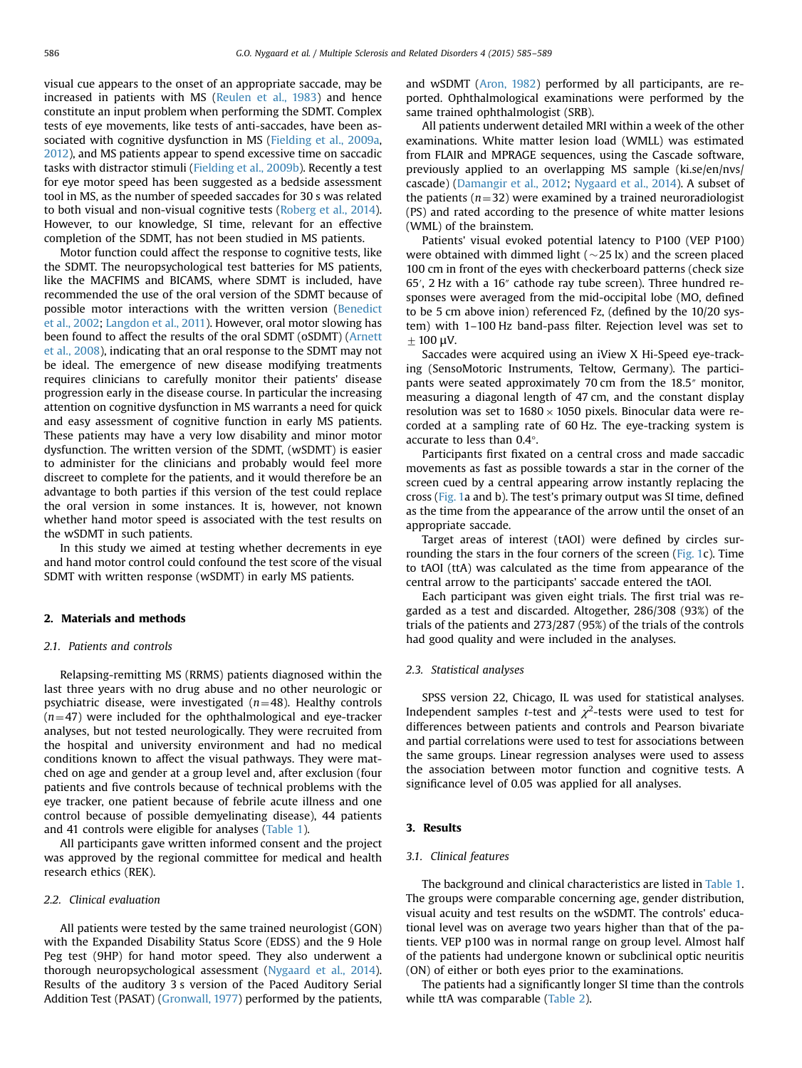visual cue appears to the onset of an appropriate saccade, may be increased in patients with MS ([Reulen et al., 1983](#page-4-0)) and hence constitute an input problem when performing the SDMT. Complex tests of eye movements, like tests of anti-saccades, have been associated with cognitive dysfunction in MS [\(Fielding et al., 2009a,](#page-4-0) [2012](#page-4-0)), and MS patients appear to spend excessive time on saccadic tasks with distractor stimuli ([Fielding et al., 2009b](#page-4-0)). Recently a test for eye motor speed has been suggested as a bedside assessment tool in MS, as the number of speeded saccades for 30 s was related to both visual and non-visual cognitive tests [\(Roberg et al., 2014\)](#page-4-0). However, to our knowledge, SI time, relevant for an effective completion of the SDMT, has not been studied in MS patients.

Motor function could affect the response to cognitive tests, like the SDMT. The neuropsychological test batteries for MS patients, like the MACFIMS and BICAMS, where SDMT is included, have recommended the use of the oral version of the SDMT because of possible motor interactions with the written version ([Benedict](#page-4-0) [et al., 2002;](#page-4-0) [Langdon et al., 2011\)](#page-4-0). However, oral motor slowing has been found to affect the results of the oral SDMT (oSDMT) ([Arnett](#page-4-0) [et al., 2008](#page-4-0)), indicating that an oral response to the SDMT may not be ideal. The emergence of new disease modifying treatments requires clinicians to carefully monitor their patients' disease progression early in the disease course. In particular the increasing attention on cognitive dysfunction in MS warrants a need for quick and easy assessment of cognitive function in early MS patients. These patients may have a very low disability and minor motor dysfunction. The written version of the SDMT, (wSDMT) is easier to administer for the clinicians and probably would feel more discreet to complete for the patients, and it would therefore be an advantage to both parties if this version of the test could replace the oral version in some instances. It is, however, not known whether hand motor speed is associated with the test results on the wSDMT in such patients.

In this study we aimed at testing whether decrements in eye and hand motor control could confound the test score of the visual SDMT with written response (wSDMT) in early MS patients.

## 2. Materials and methods

#### 2.1. Patients and controls

Relapsing-remitting MS (RRMS) patients diagnosed within the last three years with no drug abuse and no other neurologic or psychiatric disease, were investigated  $(n=48)$ . Healthy controls  $(n=47)$  were included for the ophthalmological and eye-tracker analyses, but not tested neurologically. They were recruited from the hospital and university environment and had no medical conditions known to affect the visual pathways. They were matched on age and gender at a group level and, after exclusion (four patients and five controls because of technical problems with the eye tracker, one patient because of febrile acute illness and one control because of possible demyelinating disease), 44 patients and 41 controls were eligible for analyses ([Table 1](#page-2-0)).

All participants gave written informed consent and the project was approved by the regional committee for medical and health research ethics (REK).

# 2.2. Clinical evaluation

All patients were tested by the same trained neurologist (GON) with the Expanded Disability Status Score (EDSS) and the 9 Hole Peg test (9HP) for hand motor speed. They also underwent a thorough neuropsychological assessment [\(Nygaard et al., 2014\)](#page-4-0). Results of the auditory 3 s version of the Paced Auditory Serial Addition Test (PASAT) [\(Gronwall, 1977\)](#page-4-0) performed by the patients, and wSDMT [\(Aron, 1982](#page-4-0)) performed by all participants, are reported. Ophthalmological examinations were performed by the same trained ophthalmologist (SRB).

All patients underwent detailed MRI within a week of the other examinations. White matter lesion load (WMLL) was estimated from FLAIR and MPRAGE sequences, using the Cascade software, previously applied to an overlapping MS sample (ki.se/en/nvs/ cascade) ([Damangir et al., 2012](#page-4-0); [Nygaard et al., 2014\)](#page-4-0). A subset of the patients ( $n=32$ ) were examined by a trained neuroradiologist (PS) and rated according to the presence of white matter lesions (WML) of the brainstem.

Patients' visual evoked potential latency to P100 (VEP P100) were obtained with dimmed light  $(\sim 25 \text{ lx})$  and the screen placed 100 cm in front of the eyes with checkerboard patterns (check size 65′, 2 Hz with a 16″ cathode ray tube screen). Three hundred responses were averaged from the mid-occipital lobe (MO, defined to be 5 cm above inion) referenced Fz, (defined by the 10/20 system) with 1–100 Hz band-pass filter. Rejection level was set to  $\pm$  100 μV.

Saccades were acquired using an iView X Hi-Speed eye-tracking (SensoMotoric Instruments, Teltow, Germany). The participants were seated approximately 70 cm from the 18.5″ monitor, measuring a diagonal length of 47 cm, and the constant display resolution was set to  $1680 \times 1050$  pixels. Binocular data were recorded at a sampling rate of 60 Hz. The eye-tracking system is accurate to less than 0.4°.

Participants first fixated on a central cross and made saccadic movements as fast as possible towards a star in the corner of the screen cued by a central appearing arrow instantly replacing the cross ([Fig. 1](#page-2-0)a and b). The test's primary output was SI time, defined as the time from the appearance of the arrow until the onset of an appropriate saccade.

Target areas of interest (tAOI) were defined by circles surrounding the stars in the four corners of the screen  $(Fig. 1c)$  $(Fig. 1c)$  $(Fig. 1c)$ . Time to tAOI (ttA) was calculated as the time from appearance of the central arrow to the participants' saccade entered the tAOI.

Each participant was given eight trials. The first trial was regarded as a test and discarded. Altogether, 286/308 (93%) of the trials of the patients and 273/287 (95%) of the trials of the controls had good quality and were included in the analyses.

# 2.3. Statistical analyses

SPSS version 22, Chicago, IL was used for statistical analyses. Independent samples *t*-test and  $\chi^2$ -tests were used to test for differences between patients and controls and Pearson bivariate and partial correlations were used to test for associations between the same groups. Linear regression analyses were used to assess the association between motor function and cognitive tests. A significance level of 0.05 was applied for all analyses.

# 3. Results

## 3.1. Clinical features

The background and clinical characteristics are listed in [Table 1.](#page-2-0) The groups were comparable concerning age, gender distribution, visual acuity and test results on the wSDMT. The controls' educational level was on average two years higher than that of the patients. VEP p100 was in normal range on group level. Almost half of the patients had undergone known or subclinical optic neuritis (ON) of either or both eyes prior to the examinations.

The patients had a significantly longer SI time than the controls while ttA was comparable [\(Table 2\)](#page-2-0).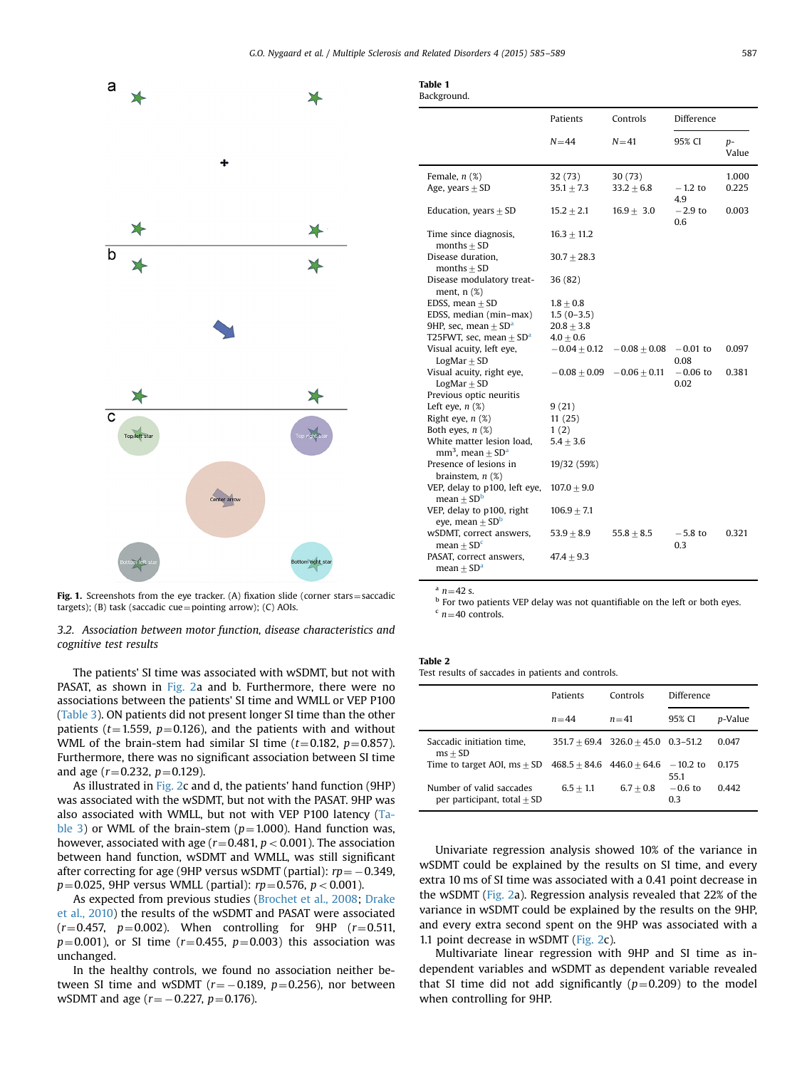Table 1 **Background** 

<span id="page-2-0"></span>

Fig. 1. Screenshots from the eye tracker. (A) fixation slide (corner stars = saccadic targets); (B) task (saccadic cue = pointing arrow); (C) AOIs.

3.2. Association between motor function, disease characteristics and cognitive test results

The patients' SI time was associated with wSDMT, but not with PASAT, as shown in [Fig. 2](#page-3-0)a and b. Furthermore, there were no associations between the patients' SI time and WMLL or VEP P100 ([Table 3](#page-3-0)). ON patients did not present longer SI time than the other patients ( $t=1.559$ ,  $p=0.126$ ), and the patients with and without WML of the brain-stem had similar SI time ( $t=0.182$ ,  $p=0.857$ ). Furthermore, there was no significant association between SI time and age  $(r=0.232, p=0.129)$ .

As illustrated in [Fig. 2](#page-3-0)c and d, the patients' hand function (9HP) was associated with the wSDMT, but not with the PASAT. 9HP was also associated with WMLL, but not with VEP P100 latency [\(Ta](#page-3-0)[ble 3](#page-3-0)) or WML of the brain-stem ( $p=1.000$ ). Hand function was, however, associated with age ( $r=0.481$ ,  $p<0.001$ ). The association between hand function, wSDMT and WMLL, was still significant after correcting for age (9HP versus wSDMT (partial):  $rp = -0.349$ ,  $p=0.025$ , 9HP versus WMLL (partial):  $rp=0.576$ ,  $p<0.001$ ).

As expected from previous studies ([Brochet et al., 2008;](#page-4-0) [Drake](#page-4-0) [et al., 2010](#page-4-0)) the results of the wSDMT and PASAT were associated  $(r=0.457, p=0.002)$ . When controlling for 9HP ( $r=0.511$ ,  $p=0.001$ ), or SI time ( $r=0.455$ ,  $p=0.003$ ) this association was unchanged.

In the healthy controls, we found no association neither between SI time and wSDMT ( $r = -0.189$ ,  $p = 0.256$ ), nor between wSDMT and age  $(r = -0.227, p = 0.176)$ .

|                                                              | Patients         | Controls                  | Difference         |               |
|--------------------------------------------------------------|------------------|---------------------------|--------------------|---------------|
|                                                              | $N = 44$         | $N = 41$                  | 95% CI             | $p-$<br>Value |
| Female, $n$ $(\%)$                                           | 32 (73)          | 30 (73)                   |                    | 1.000         |
| Age, years $\pm$ SD                                          | $35.1 \pm 7.3$   | $33.2 \pm 6.8$            | – 1.2 to<br>4.9    | 0.225         |
| Education, years $\pm$ SD                                    | $15.2 \pm 2.1$   | $16.9 \pm 3.0$            | $-2.9$ to<br>0.6   | 0.003         |
| Time since diagnosis,<br>$months + SD$                       | $16.3 \pm 11.2$  |                           |                    |               |
| Disease duration.<br>$months + SD$                           | $30.7 \pm 28.3$  |                           |                    |               |
| Disease modulatory treat-<br>ment, $n$ $(\%)$                | 36 (82)          |                           |                    |               |
| EDSS, mean $\pm$ SD                                          | $1.8 \pm 0.8$    |                           |                    |               |
| EDSS, median (min-max)                                       | $1.5(0-3.5)$     |                           |                    |               |
| 9HP, sec, mean $\pm$ SD <sup>a</sup>                         | $20.8 \pm 3.8$   |                           |                    |               |
| T25FWT, sec, mean $\pm$ SD <sup>a</sup>                      | $4.0 \pm 0.6$    |                           |                    |               |
| Visual acuity, left eye,<br>LogMar $\pm$ SD                  | $-0.04 \pm 0.12$ | $-0.08 \pm 0.08$ -0.01 to | 0.08               | 0.097         |
| Visual acuity, right eye,<br>$LogMar + SD$                   | $-0.08\pm0.09$   | $-0.06 \pm 0.11$          | $-0.06$ to<br>0.02 | 0.381         |
| Previous optic neuritis                                      |                  |                           |                    |               |
| Left eye, $n$ $(\%)$                                         | 9(21)            |                           |                    |               |
| Right eye, $n$ $(\%)$                                        | 11(25)           |                           |                    |               |
| Both eyes, $n$ $(\%)$                                        | 1(2)             |                           |                    |               |
| White matter lesion load,<br>$mm3$ , mean + SD <sup>a</sup>  | $5.4 \pm 3.6$    |                           |                    |               |
| Presence of lesions in<br>brainstem, $n$ $(\%)$              | 19/32 (59%)      |                           |                    |               |
| VEP, delay to p100, left eye,<br>$mean + SDb$                | $107.0 \pm 9.0$  |                           |                    |               |
| VEP, delay to p100, right<br>eye, mean $\pm$ SD <sup>b</sup> | $106.9 \pm 7.1$  |                           |                    |               |
| wSDMT, correct answers,<br>$mean + SDc$                      | $53.9 \pm 8.9$   | $55.8 + 8.5$              | $-5.8$ to<br>0.3   | 0.321         |
| PASAT, correct answers,<br>mean $\pm$ SD <sup>a</sup>        | $47.4 \pm 9.3$   |                           |                    |               |

<sup>a</sup>  $n=42$  s.<br><sup>b</sup> For two patients VEP delay was not quantifiable on the left or both eyes.  $c$  n=40 controls.

### Table 2

|                                                           | Patients    | Controls                               | Difference         |                 |
|-----------------------------------------------------------|-------------|----------------------------------------|--------------------|-----------------|
|                                                           | $n = 44$    | $n = 41$                               | 95% CI             | <i>p</i> -Value |
| Saccadic initiation time,<br>$ms + SD$                    |             | $351.7 + 69.4$ $326.0 + 45.0$ 0.3-51.2 |                    | 0.047           |
| Time to target AOI, $ms + SD$ 468.5 + 84.6 446.0 + 64.6   |             |                                        | $-10.2$ to<br>55.1 | 0.175           |
| Number of valid saccades<br>per participant, total $+$ SD | $6.5 + 1.1$ | $6.7 + 0.8$                            | $-0.6$ to<br>0.3   | 0.442           |

Univariate regression analysis showed 10% of the variance in wSDMT could be explained by the results on SI time, and every extra 10 ms of SI time was associated with a 0.41 point decrease in the wSDMT ([Fig. 2](#page-3-0)a). Regression analysis revealed that 22% of the variance in wSDMT could be explained by the results on the 9HP, and every extra second spent on the 9HP was associated with a 1.1 point decrease in wSDMT [\(Fig. 2c](#page-3-0)).

Multivariate linear regression with 9HP and SI time as independent variables and wSDMT as dependent variable revealed that SI time did not add significantly  $(p=0.209)$  to the model when controlling for 9HP.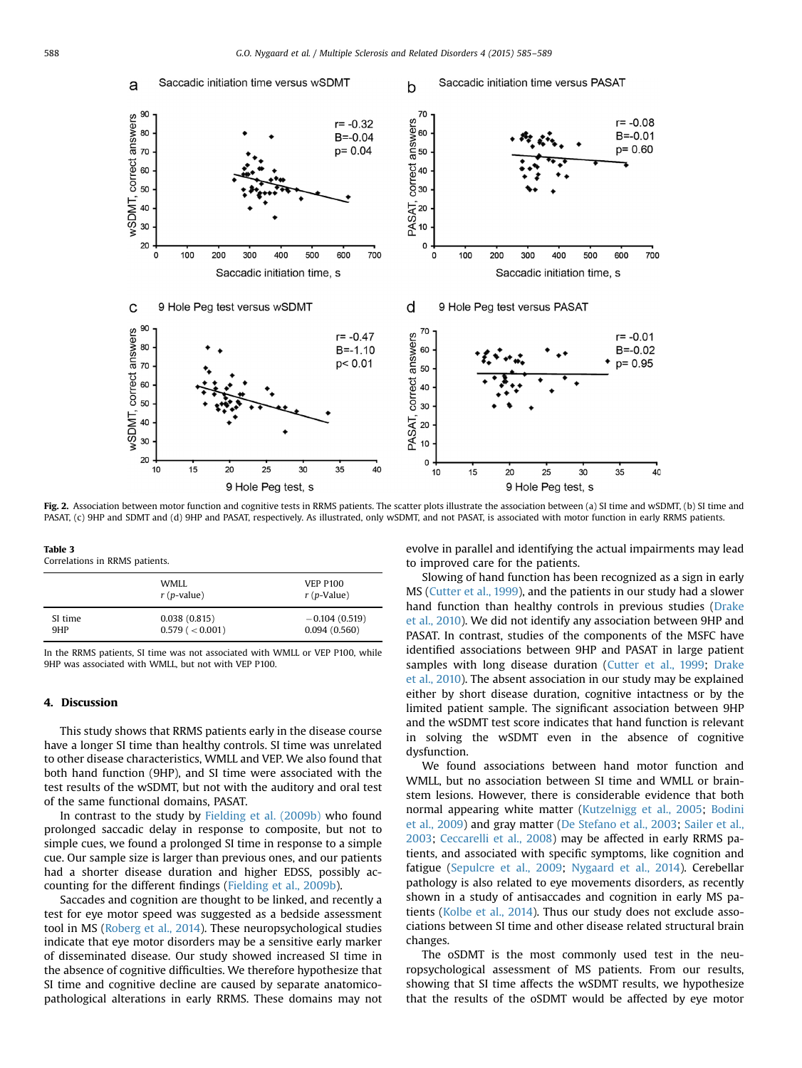<span id="page-3-0"></span>

Fig. 2. Association between motor function and cognitive tests in RRMS patients. The scatter plots illustrate the association between (a) SI time and wSDMT, (b) SI time and PASAT, (c) 9HP and SDMT and (d) 9HP and PASAT, respectively. As illustrated, only wSDMT, and not PASAT, is associated with motor function in early RRMS patients.

Table 3

Correlations in RRMS patients.

|         | WMLL<br>$r(p$ -value) | <b>VEP P100</b><br>$r(p$ -Value) |
|---------|-----------------------|----------------------------------|
| SI time | 0.038(0.815)          | $-0.104(0.519)$                  |
| 9HP     | $0.579$ ( $< 0.001$ ) | 0.094(0.560)                     |

In the RRMS patients, SI time was not associated with WMLL or VEP P100, while 9HP was associated with WMLL, but not with VEP P100.

## 4. Discussion

This study shows that RRMS patients early in the disease course have a longer SI time than healthy controls. SI time was unrelated to other disease characteristics, WMLL and VEP. We also found that both hand function (9HP), and SI time were associated with the test results of the wSDMT, but not with the auditory and oral test of the same functional domains, PASAT.

In contrast to the study by [Fielding et al. \(2009b\)](#page-4-0) who found prolonged saccadic delay in response to composite, but not to simple cues, we found a prolonged SI time in response to a simple cue. Our sample size is larger than previous ones, and our patients had a shorter disease duration and higher EDSS, possibly accounting for the different findings [\(Fielding et al., 2009b\)](#page-4-0).

Saccades and cognition are thought to be linked, and recently a test for eye motor speed was suggested as a bedside assessment tool in MS [\(Roberg et al., 2014\)](#page-4-0). These neuropsychological studies indicate that eye motor disorders may be a sensitive early marker of disseminated disease. Our study showed increased SI time in the absence of cognitive difficulties. We therefore hypothesize that SI time and cognitive decline are caused by separate anatomicopathological alterations in early RRMS. These domains may not evolve in parallel and identifying the actual impairments may lead to improved care for the patients.

Slowing of hand function has been recognized as a sign in early MS [\(Cutter et al., 1999](#page-4-0)), and the patients in our study had a slower hand function than healthy controls in previous studies [\(Drake](#page-4-0) [et al., 2010](#page-4-0)). We did not identify any association between 9HP and PASAT. In contrast, studies of the components of the MSFC have identified associations between 9HP and PASAT in large patient samples with long disease duration [\(Cutter et al., 1999](#page-4-0); [Drake](#page-4-0) [et al., 2010](#page-4-0)). The absent association in our study may be explained either by short disease duration, cognitive intactness or by the limited patient sample. The significant association between 9HP and the wSDMT test score indicates that hand function is relevant in solving the wSDMT even in the absence of cognitive dysfunction.

We found associations between hand motor function and WMLL, but no association between SI time and WMLL or brainstem lesions. However, there is considerable evidence that both normal appearing white matter ([Kutzelnigg et al., 2005;](#page-4-0) [Bodini](#page-4-0) [et al., 2009](#page-4-0)) and gray matter [\(De Stefano et al., 2003](#page-4-0); [Sailer et al.,](#page-4-0) [2003;](#page-4-0) [Ceccarelli et al., 2008](#page-4-0)) may be affected in early RRMS patients, and associated with specific symptoms, like cognition and fatigue [\(Sepulcre et al., 2009](#page-4-0); [Nygaard et al., 2014](#page-4-0)). Cerebellar pathology is also related to eye movements disorders, as recently shown in a study of antisaccades and cognition in early MS patients [\(Kolbe et al., 2014\)](#page-4-0). Thus our study does not exclude associations between SI time and other disease related structural brain changes.

The oSDMT is the most commonly used test in the neuropsychological assessment of MS patients. From our results, showing that SI time affects the wSDMT results, we hypothesize that the results of the oSDMT would be affected by eye motor